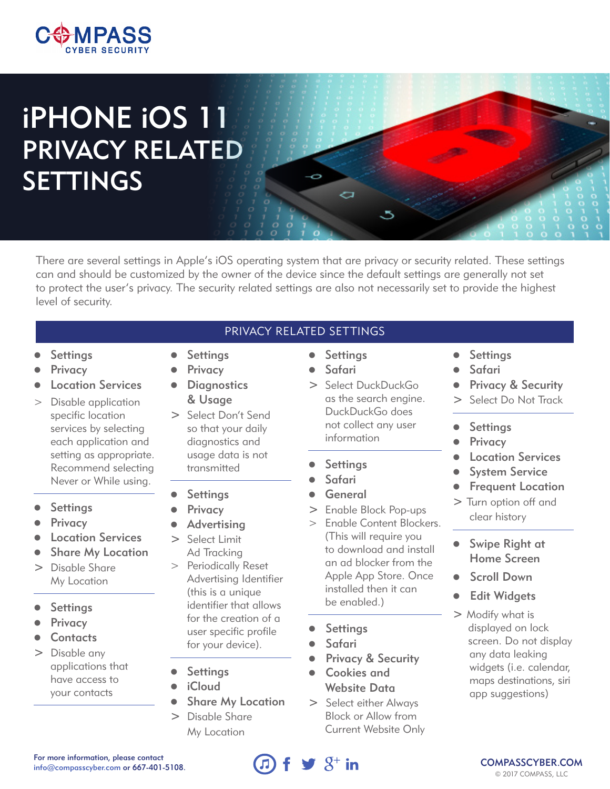

# iPHONE iOS 11 PRIVACY RELATED SETTINGS

There are several settings in Apple's iOS operating system that are privacy or security related. These settings can and should be customized by the owner of the device since the default settings are generally not set to protect the user's privacy. The security related settings are also not necessarily set to provide the highest level of security.

PRIVACY RELATED SETTINGS

- **Settings**
- **Privacy**
- **Location Services**
- > Disable application specific location services by selecting each application and setting as appropriate. Recommend selecting Never or While using.
- **Settings**
- **Privacy**
- **Location Services**
- **Share My Location**
- > Disable Share My Location
- **Settings**
- **Privacy**
- **Contacts**
- > Disable any applications that have access to your contacts
- **Settings**
- **Privacy**
- **Diagnostics** & Usage
- > Select Don't Send so that your daily diagnostics and usage data is not transmitted

#### **Settings**

- Privacy
- Advertising
- > Select Limit Ad Tracking
- > Periodically Reset Advertising Identifier (this is a unique identifier that allows for the creation of a user specific profile for your device).
- **Settings**
- *i*Cloud
- **Share My Location**
- > Disable Share My Location

## **Settings**

Ō

- Safari
- > Select DuckDuckGo as the search engine. DuckDuckGo does not collect any user information
- **Settings**
- Safari
- **General**
- > Enable Block Pop-ups
- > Enable Content Blockers. (This will require you to download and install an ad blocker from the Apple App Store. Once installed then it can be enabled.)
- **Settings**
- **Safari**
- Privacy & Security
- **•** Cookies and Website Data
- > Select either Always Block or Allow from Current Website Only
- **Settings**
- Safari
- Privacy & Security
- > Select Do Not Track
- **•** Settings
- **Privacy**
- **Location Services**
- **System Service**
- **Frequent Location**
- > Turn option off and clear history
- **•** Swipe Right at Home Screen
- **Scroll Down**
- **Edit Widgets**
- > Modify what is displayed on lock screen. Do not display any data leaking widgets (i.e. calendar, maps destinations, siri app suggestions)